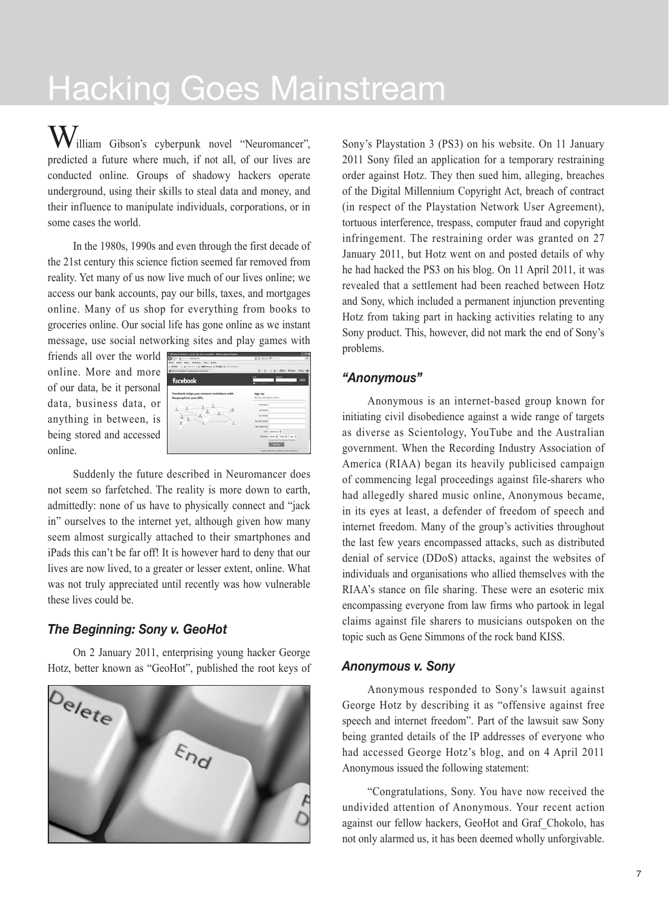# Hacking Goes Mainstream

William Gibson's cyberpunk novel "Neuromancer", predicted a future where much, if not all, of our lives are conducted online. Groups of shadowy hackers operate underground, using their skills to steal data and money, and their influence to manipulate individuals, corporations, or in some cases the world.

In the 1980s, 1990s and even through the first decade of the 21st century this science fiction seemed far removed from reality. Yet many of us now live much of our lives online; we access our bank accounts, pay our bills, taxes, and mortgages online. Many of us shop for everything from books to groceries online. Our social life has gone online as we instant message, use social networking sites and play games with

friends all over the world online. More and more of our data, be it personal data, business data, or anything in between, is being stored and accessed online.

| Children of the Contest on<br>and was well needs the and<br>a head in a strictly a backment a news attribution - | 前近なの場に                                     |                                                                                     |
|------------------------------------------------------------------------------------------------------------------|--------------------------------------------|-------------------------------------------------------------------------------------|
| <b>If New charges against the fact that they</b>                                                                 | 5 < 0 = 0 = 1 Mile - 1980 - 1981 - 6 -     |                                                                                     |
| facebook                                                                                                         |                                            | <b>Track</b>                                                                        |
| Facebook helps you connect and share with<br>the people in your life.                                            | Sign Up<br><b>D's for and dones of he.</b> |                                                                                     |
|                                                                                                                  | <b>STATISTICS</b><br>Louis Supra           |                                                                                     |
|                                                                                                                  | That Street                                |                                                                                     |
|                                                                                                                  | <b>Ro-enter Erner</b>                      |                                                                                     |
|                                                                                                                  | <b>New Paper and</b>                       |                                                                                     |
|                                                                                                                  |                                            | TWO bend by M                                                                       |
|                                                                                                                  |                                            | School much M   bar M   har M<br>Also de lomar la provincia de la balació<br>$\sim$ |
|                                                                                                                  |                                            |                                                                                     |

Suddenly the future described in Neuromancer does not seem so farfetched. The reality is more down to earth, admittedly: none of us have to physically connect and "jack in" ourselves to the internet yet, although given how many seem almost surgically attached to their smartphones and iPads this can't be far off! It is however hard to deny that our lives are now lived, to a greater or lesser extent, online. What was not truly appreciated until recently was how vulnerable these lives could be.

## *The Beginning: Sony v. GeoHot*

On 2 January 2011, enterprising young hacker George Hotz, better known as "GeoHot", published the root keys of



Sony's Playstation 3 (PS3) on his website. On 11 January 2011 Sony filed an application for a temporary restraining order against Hotz. They then sued him, alleging, breaches of the Digital Millennium Copyright Act, breach of contract (in respect of the Playstation Network User Agreement), tortuous interference, trespass, computer fraud and copyright infringement. The restraining order was granted on 27 January 2011, but Hotz went on and posted details of why he had hacked the PS3 on his blog. On 11 April 2011, it was revealed that a settlement had been reached between Hotz and Sony, which included a permanent injunction preventing Hotz from taking part in hacking activities relating to any Sony product. This, however, did not mark the end of Sony's problems.

## *"Anonymous"*

Anonymous is an internet-based group known for initiating civil disobedience against a wide range of targets as diverse as Scientology, YouTube and the Australian government. When the Recording Industry Association of America (RIAA) began its heavily publicised campaign of commencing legal proceedings against file-sharers who had allegedly shared music online, Anonymous became, in its eyes at least, a defender of freedom of speech and internet freedom. Many of the group's activities throughout the last few years encompassed attacks, such as distributed denial of service (DDoS) attacks, against the websites of individuals and organisations who allied themselves with the RIAA's stance on file sharing. These were an esoteric mix encompassing everyone from law firms who partook in legal claims against file sharers to musicians outspoken on the topic such as Gene Simmons of the rock band KISS.

#### *Anonymous v. Sony*

Anonymous responded to Sony's lawsuit against George Hotz by describing it as "offensive against free speech and internet freedom". Part of the lawsuit saw Sony being granted details of the IP addresses of everyone who had accessed George Hotz's blog, and on 4 April 2011 Anonymous issued the following statement:

"Congratulations, Sony. You have now received the undivided attention of Anonymous. Your recent action against our fellow hackers, GeoHot and Graf\_Chokolo, has not only alarmed us, it has been deemed wholly unforgivable.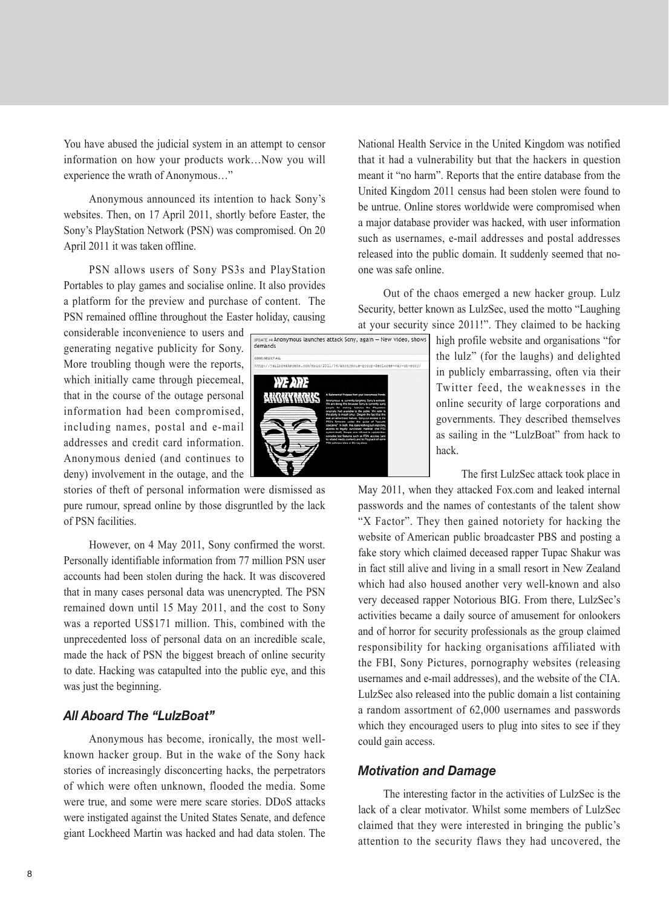You have abused the judicial system in an attempt to censor information on how your products work…Now you will experience the wrath of Anonymous…"

Anonymous announced its intention to hack Sony's websites. Then, on 17 April 2011, shortly before Easter, the Sony's PlayStation Network (PSN) was compromised. On 20 April 2011 it was taken offline.

PSN allows users of Sony PS3s and PlayStation Portables to play games and socialise online. It also provides a platform for the preview and purchase of content. The PSN remained offline throughout the Easter holiday, causing

considerable inconvenience to users and generating negative publicity for Sony. More troubling though were the reports, which initially came through piecemeal, that in the course of the outage personal information had been compromised, including names, postal and e-mail addresses and credit card information. Anonymous denied (and continues to deny) involvement in the outage, and the

stories of theft of personal information were dismissed as pure rumour, spread online by those disgruntled by the lack of PSN facilities.

However, on 4 May 2011, Sony confirmed the worst. Personally identifiable information from 77 million PSN user accounts had been stolen during the hack. It was discovered that in many cases personal data was unencrypted. The PSN remained down until 15 May 2011, and the cost to Sony was a reported US\$171 million. This, combined with the unprecedented loss of personal data on an incredible scale, made the hack of PSN the biggest breach of online security to date. Hacking was catapulted into the public eye, and this was just the beginning.

## *All Aboard The "LulzBoat"*

Anonymous has become, ironically, the most wellknown hacker group. But in the wake of the Sony hack stories of increasingly disconcerting hacks, the perpetrators of which were often unknown, flooded the media. Some were true, and some were mere scare stories. DDoS attacks were instigated against the United States Senate, and defence giant Lockheed Martin was hacked and had data stolen. The



National Health Service in the United Kingdom was notified that it had a vulnerability but that the hackers in question meant it "no harm". Reports that the entire database from the United Kingdom 2011 census had been stolen were found to be untrue. Online stores worldwide were compromised when a major database provider was hacked, with user information such as usernames, e-mail addresses and postal addresses released into the public domain. It suddenly seemed that noone was safe online.

Out of the chaos emerged a new hacker group. Lulz Security, better known as LulzSec, used the motto "Laughing at your security since 2011!". They claimed to be hacking

> high profile website and organisations "for the lulz" (for the laughs) and delighted in publicly embarrassing, often via their Twitter feed, the weaknesses in the online security of large corporations and governments. They described themselves as sailing in the "LulzBoat" from hack to hack.

> > The first LulzSec attack took place in

May 2011, when they attacked Fox.com and leaked internal passwords and the names of contestants of the talent show "X Factor". They then gained notoriety for hacking the website of American public broadcaster PBS and posting a fake story which claimed deceased rapper Tupac Shakur was in fact still alive and living in a small resort in New Zealand which had also housed another very well-known and also very deceased rapper Notorious BIG. From there, LulzSec's activities became a daily source of amusement for onlookers and of horror for security professionals as the group claimed responsibility for hacking organisations affiliated with the FBI, Sony Pictures, pornography websites (releasing usernames and e-mail addresses), and the website of the CIA. LulzSec also released into the public domain a list containing a random assortment of 62,000 usernames and passwords which they encouraged users to plug into sites to see if they could gain access.

#### *Motivation and Damage*

The interesting factor in the activities of LulzSec is the lack of a clear motivator. Whilst some members of LulzSec claimed that they were interested in bringing the public's attention to the security flaws they had uncovered, the